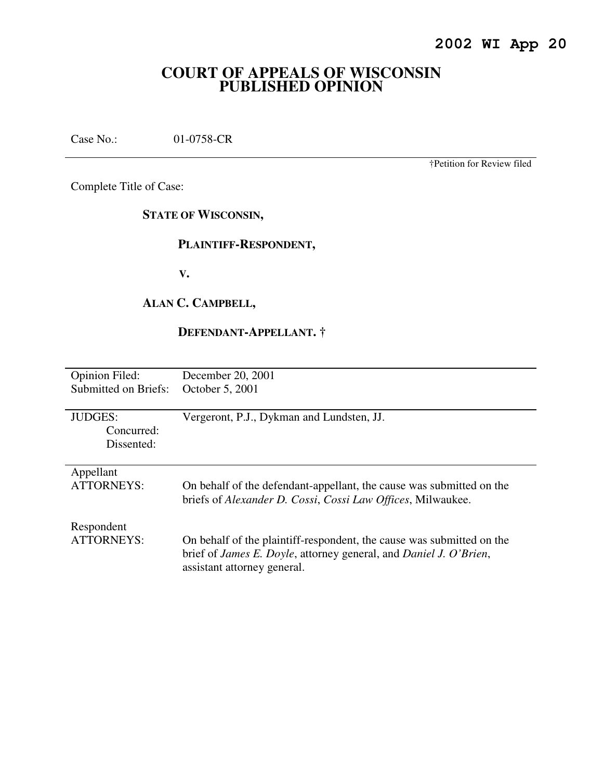# **COURT OF APPEALS OF WISCONSIN PUBLISHED OPINION**

Case No.: 01-0758-CR

†Petition for Review filed

Complete Title of Case:

**STATE OF WISCONSIN,** 

#### **PLAINTIFF-RESPONDENT,**

 **V.** 

## **ALAN C. CAMPBELL,**

## **DEFENDANT-APPELLANT. †**

| <b>Opinion Filed:</b> | December 20, 2001                                                                 |
|-----------------------|-----------------------------------------------------------------------------------|
| Submitted on Briefs:  | October 5, 2001                                                                   |
|                       |                                                                                   |
| <b>JUDGES:</b>        | Vergeront, P.J., Dykman and Lundsten, JJ.                                         |
| Concurred:            |                                                                                   |
| Dissented:            |                                                                                   |
|                       |                                                                                   |
| Appellant             |                                                                                   |
| <b>ATTORNEYS:</b>     | On behalf of the defendant-appellant, the cause was submitted on the              |
|                       | briefs of Alexander D. Cossi, Cossi Law Offices, Milwaukee.                       |
|                       |                                                                                   |
| Respondent            |                                                                                   |
| <b>ATTORNEYS:</b>     | On behalf of the plaintiff-respondent, the cause was submitted on the             |
|                       | brief of <i>James E. Doyle</i> , attorney general, and <i>Daniel J. O'Brien</i> , |
|                       | assistant attorney general.                                                       |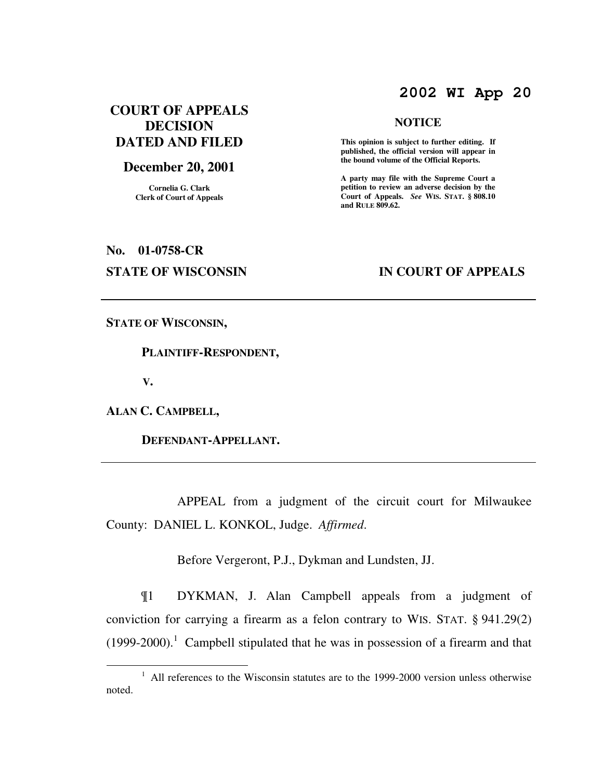## **2002 WI App 20**

## **COURT OF APPEALS DECISION DATED AND FILED**

#### **December 20, 2001**

**Cornelia G. Clark Clerk of Court of Appeals**

#### **NOTICE**

 **This opinion is subject to further editing. If published, the official version will appear in the bound volume of the Official Reports.** 

**A party may file with the Supreme Court a petition to review an adverse decision by the Court of Appeals.** *See* **WIS. STAT. § 808.10 and RULE 809.62.** 

# **No. 01-0758-CR**

#### **STATE OF WISCONSIN BY APPEALS**

**STATE OF WISCONSIN,** 

 **PLAINTIFF-RESPONDENT,** 

 **V.** 

 $\overline{a}$ 

**ALAN C. CAMPBELL,** 

 **DEFENDANT-APPELLANT.** 

 APPEAL from a judgment of the circuit court for Milwaukee County: DANIEL L. KONKOL, Judge. *Affirmed*.

Before Vergeront, P.J., Dykman and Lundsten, JJ.

¶1 DYKMAN, J. Alan Campbell appeals from a judgment of conviction for carrying a firearm as a felon contrary to WIS. STAT. § 941.29(2)  $(1999-2000).$ <sup>1</sup> Campbell stipulated that he was in possession of a firearm and that

<sup>&</sup>lt;sup>1</sup> All references to the Wisconsin statutes are to the 1999-2000 version unless otherwise noted.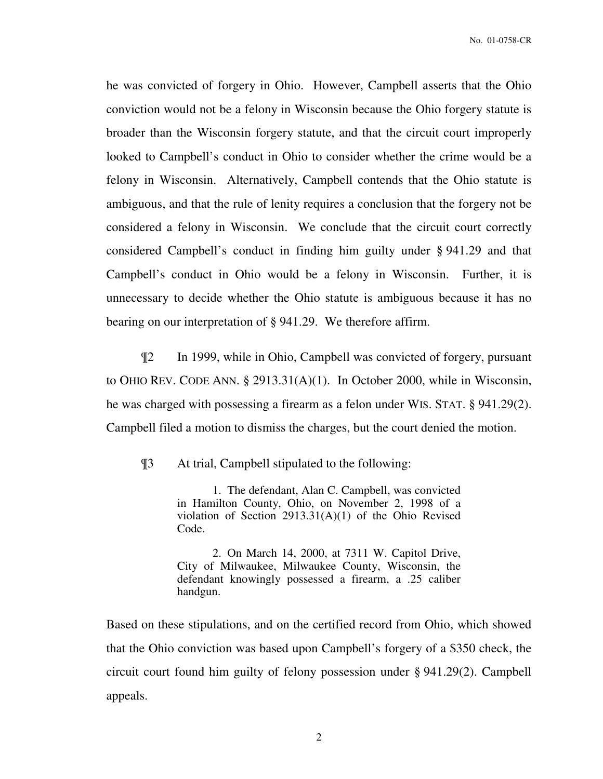he was convicted of forgery in Ohio. However, Campbell asserts that the Ohio conviction would not be a felony in Wisconsin because the Ohio forgery statute is broader than the Wisconsin forgery statute, and that the circuit court improperly looked to Campbell's conduct in Ohio to consider whether the crime would be a felony in Wisconsin. Alternatively, Campbell contends that the Ohio statute is ambiguous, and that the rule of lenity requires a conclusion that the forgery not be considered a felony in Wisconsin. We conclude that the circuit court correctly considered Campbell's conduct in finding him guilty under § 941.29 and that Campbell's conduct in Ohio would be a felony in Wisconsin. Further, it is unnecessary to decide whether the Ohio statute is ambiguous because it has no bearing on our interpretation of § 941.29. We therefore affirm.

¶2 In 1999, while in Ohio, Campbell was convicted of forgery, pursuant to OHIO REV. CODE ANN. § 2913.31(A)(1). In October 2000, while in Wisconsin, he was charged with possessing a firearm as a felon under WIS. STAT. § 941.29(2). Campbell filed a motion to dismiss the charges, but the court denied the motion.

¶3 At trial, Campbell stipulated to the following:

1. The defendant, Alan C. Campbell, was convicted in Hamilton County, Ohio, on November 2, 1998 of a violation of Section 2913.31(A)(1) of the Ohio Revised Code.

2. On March 14, 2000, at 7311 W. Capitol Drive, City of Milwaukee, Milwaukee County, Wisconsin, the defendant knowingly possessed a firearm, a .25 caliber handgun.

Based on these stipulations, and on the certified record from Ohio, which showed that the Ohio conviction was based upon Campbell's forgery of a \$350 check, the circuit court found him guilty of felony possession under § 941.29(2). Campbell appeals.

2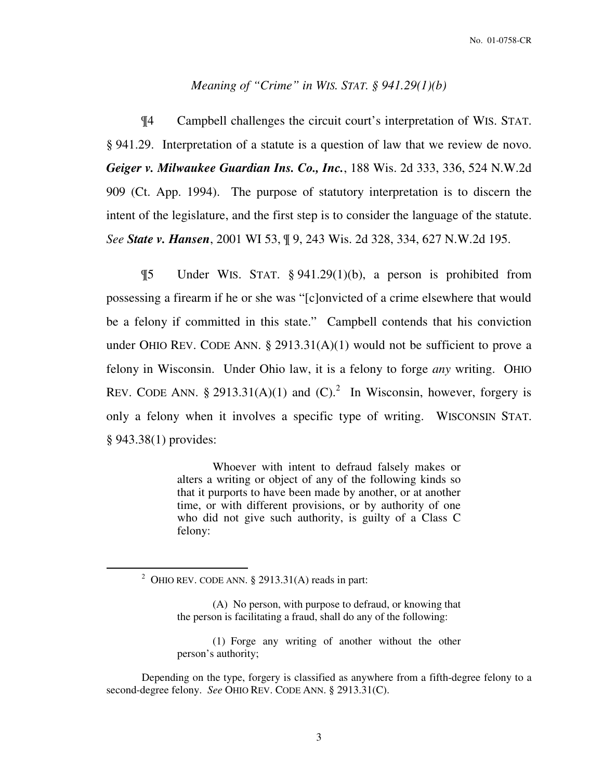#### *Meaning of "Crime" in WIS. STAT. § 941.29(1)(b)*

 ¶4 Campbell challenges the circuit court's interpretation of WIS. STAT. § 941.29. Interpretation of a statute is a question of law that we review de novo. *Geiger v. Milwaukee Guardian Ins. Co., Inc.*, 188 Wis. 2d 333, 336, 524 N.W.2d 909 (Ct. App. 1994). The purpose of statutory interpretation is to discern the intent of the legislature, and the first step is to consider the language of the statute. *See State v. Hansen*, 2001 WI 53, ¶ 9, 243 Wis. 2d 328, 334, 627 N.W.2d 195.

 ¶5 Under WIS. STAT. § 941.29(1)(b), a person is prohibited from possessing a firearm if he or she was "[c]onvicted of a crime elsewhere that would be a felony if committed in this state." Campbell contends that his conviction under OHIO REV. CODE ANN.  $\S 2913.31(A)(1)$  would not be sufficient to prove a felony in Wisconsin. Under Ohio law, it is a felony to forge *any* writing. OHIO REV. CODE ANN. § 2913.31(A)(1) and  $(C)$ .<sup>2</sup> In Wisconsin, however, forgery is only a felony when it involves a specific type of writing. WISCONSIN STAT. § 943.38(1) provides:

> Whoever with intent to defraud falsely makes or alters a writing or object of any of the following kinds so that it purports to have been made by another, or at another time, or with different provisions, or by authority of one who did not give such authority, is guilty of a Class C felony:

 $\overline{a}$ 

(1) Forge any writing of another without the other person's authority;

Depending on the type, forgery is classified as anywhere from a fifth-degree felony to a second-degree felony. *See* OHIO REV. CODE ANN. § 2913.31(C).

<sup>&</sup>lt;sup>2</sup> OHIO REV. CODE ANN. § 2913.31(A) reads in part:

<sup>(</sup>A) No person, with purpose to defraud, or knowing that the person is facilitating a fraud, shall do any of the following: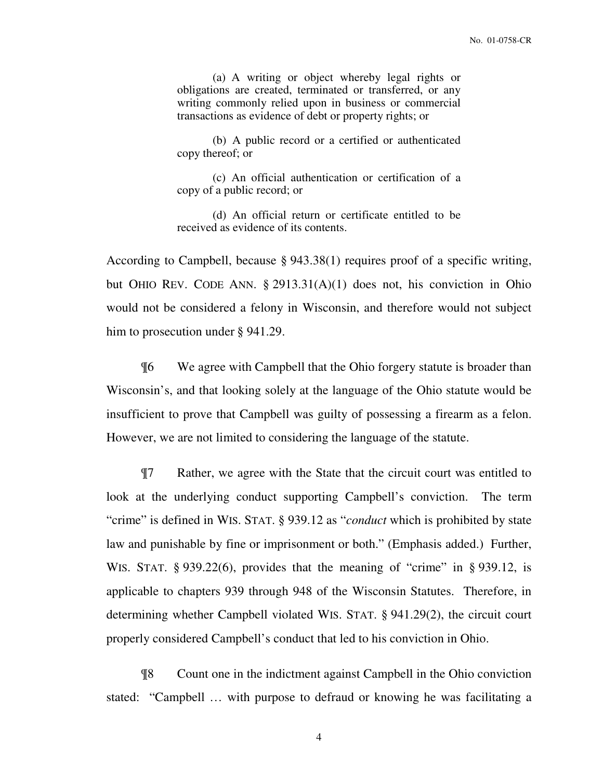(a) A writing or object whereby legal rights or obligations are created, terminated or transferred, or any writing commonly relied upon in business or commercial transactions as evidence of debt or property rights; or

(b) A public record or a certified or authenticated copy thereof; or

(c) An official authentication or certification of a copy of a public record; or

(d) An official return or certificate entitled to be received as evidence of its contents.

According to Campbell, because § 943.38(1) requires proof of a specific writing, but OHIO REV. CODE ANN. § 2913.31(A)(1) does not, his conviction in Ohio would not be considered a felony in Wisconsin, and therefore would not subject him to prosecution under § 941.29.

¶6 We agree with Campbell that the Ohio forgery statute is broader than Wisconsin's, and that looking solely at the language of the Ohio statute would be insufficient to prove that Campbell was guilty of possessing a firearm as a felon. However, we are not limited to considering the language of the statute.

¶7 Rather, we agree with the State that the circuit court was entitled to look at the underlying conduct supporting Campbell's conviction. The term "crime" is defined in WIS. STAT. § 939.12 as "*conduct* which is prohibited by state law and punishable by fine or imprisonment or both." (Emphasis added.) Further, WIS. STAT.  $\S 939.22(6)$ , provides that the meaning of "crime" in  $\S 939.12$ , is applicable to chapters 939 through 948 of the Wisconsin Statutes. Therefore, in determining whether Campbell violated WIS. STAT. § 941.29(2), the circuit court properly considered Campbell's conduct that led to his conviction in Ohio.

 ¶8 Count one in the indictment against Campbell in the Ohio conviction stated: "Campbell … with purpose to defraud or knowing he was facilitating a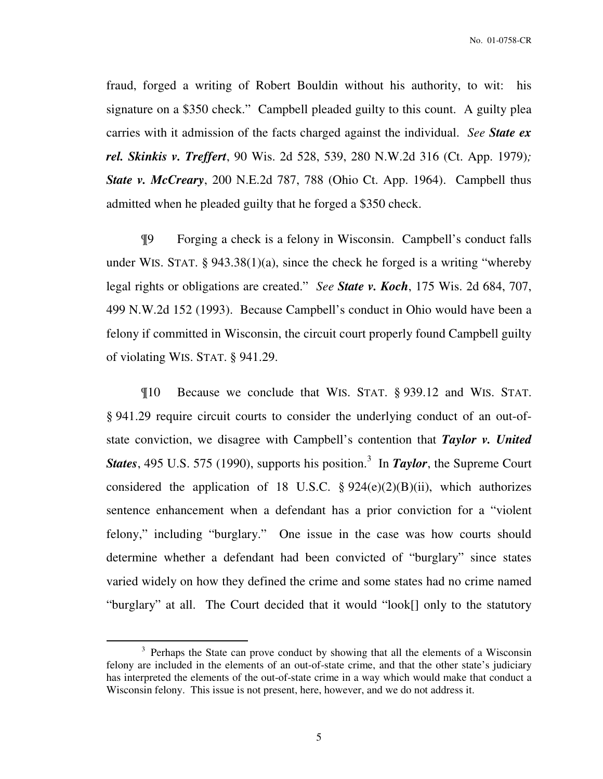No. 01-0758-CR

fraud, forged a writing of Robert Bouldin without his authority, to wit: his signature on a \$350 check." Campbell pleaded guilty to this count. A guilty plea carries with it admission of the facts charged against the individual. *See State ex rel. Skinkis v. Treffert*, 90 Wis. 2d 528, 539, 280 N.W.2d 316 (Ct. App. 1979)*; State v. McCreary*, 200 N.E.2d 787, 788 (Ohio Ct. App. 1964). Campbell thus admitted when he pleaded guilty that he forged a \$350 check.

¶9 Forging a check is a felony in Wisconsin. Campbell's conduct falls under WIS. STAT. § 943.38(1)(a), since the check he forged is a writing "whereby legal rights or obligations are created." *See State v. Koch*, 175 Wis. 2d 684, 707, 499 N.W.2d 152 (1993). Because Campbell's conduct in Ohio would have been a felony if committed in Wisconsin, the circuit court properly found Campbell guilty of violating WIS. STAT. § 941.29.

 ¶10 Because we conclude that WIS. STAT. § 939.12 and WIS. STAT. § 941.29 require circuit courts to consider the underlying conduct of an out-ofstate conviction, we disagree with Campbell's contention that *Taylor v. United*  States, 495 U.S. 575 (1990), supports his position.<sup>3</sup> In *Taylor*, the Supreme Court considered the application of 18 U.S.C.  $\S 924(e)(2)(B)(ii)$ , which authorizes sentence enhancement when a defendant has a prior conviction for a "violent felony," including "burglary." One issue in the case was how courts should determine whether a defendant had been convicted of "burglary" since states varied widely on how they defined the crime and some states had no crime named "burglary" at all. The Court decided that it would "look[] only to the statutory

 $\overline{a}$ 

5

<sup>&</sup>lt;sup>3</sup> Perhaps the State can prove conduct by showing that all the elements of a Wisconsin felony are included in the elements of an out-of-state crime, and that the other state's judiciary has interpreted the elements of the out-of-state crime in a way which would make that conduct a Wisconsin felony. This issue is not present, here, however, and we do not address it.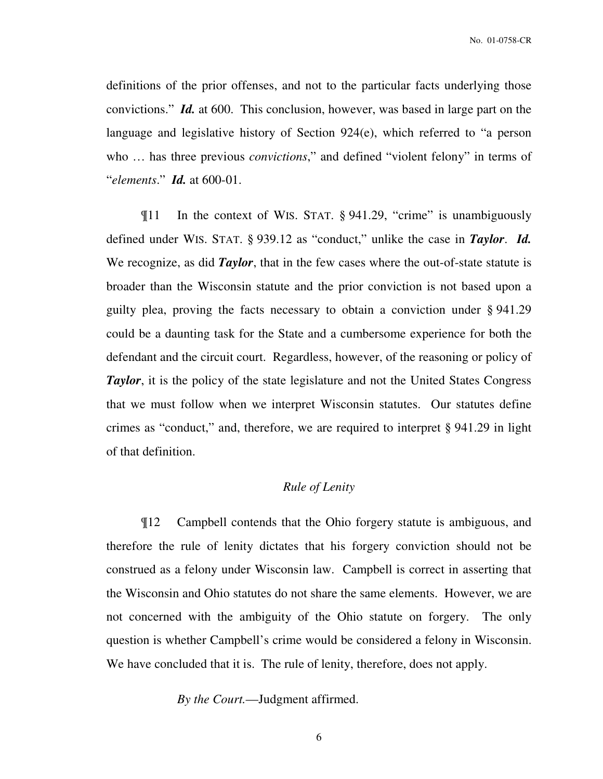definitions of the prior offenses, and not to the particular facts underlying those convictions." *Id.* at 600. This conclusion, however, was based in large part on the language and legislative history of Section 924(e), which referred to "a person who … has three previous *convictions*," and defined "violent felony" in terms of "*elements*." *Id.* at 600-01.

 ¶11 In the context of WIS. STAT. § 941.29, "crime" is unambiguously defined under WIS. STAT. § 939.12 as "conduct," unlike the case in *Taylor*. *Id.* We recognize, as did *Taylor*, that in the few cases where the out-of-state statute is broader than the Wisconsin statute and the prior conviction is not based upon a guilty plea, proving the facts necessary to obtain a conviction under § 941.29 could be a daunting task for the State and a cumbersome experience for both the defendant and the circuit court. Regardless, however, of the reasoning or policy of *Taylor*, it is the policy of the state legislature and not the United States Congress that we must follow when we interpret Wisconsin statutes. Our statutes define crimes as "conduct," and, therefore, we are required to interpret § 941.29 in light of that definition.

#### *Rule of Lenity*

 ¶12 Campbell contends that the Ohio forgery statute is ambiguous, and therefore the rule of lenity dictates that his forgery conviction should not be construed as a felony under Wisconsin law. Campbell is correct in asserting that the Wisconsin and Ohio statutes do not share the same elements. However, we are not concerned with the ambiguity of the Ohio statute on forgery. The only question is whether Campbell's crime would be considered a felony in Wisconsin. We have concluded that it is. The rule of lenity, therefore, does not apply.

 *By the Court.*—Judgment affirmed.